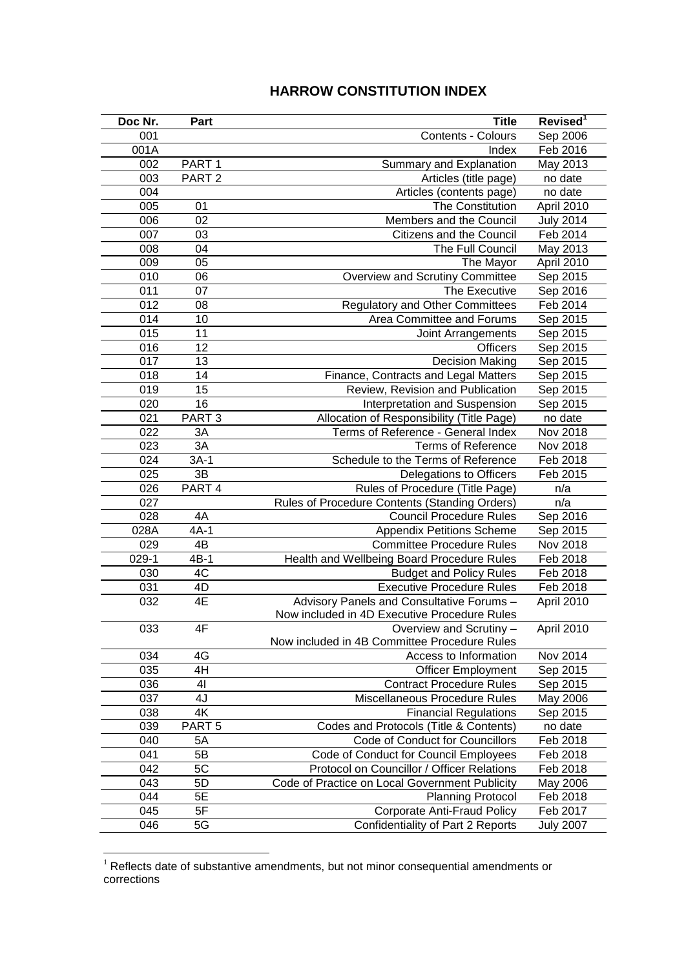## **HARROW CONSTITUTION INDEX**

| Doc Nr. | Part              | <b>Title</b>                                   | Revised <sup>1</sup> |
|---------|-------------------|------------------------------------------------|----------------------|
| 001     |                   | Contents - Colours                             | Sep 2006             |
| 001A    |                   | Index                                          | Feb 2016             |
| 002     | PART <sub>1</sub> | Summary and Explanation                        | May 2013             |
| 003     | PART <sub>2</sub> | Articles (title page)                          | no date              |
| 004     |                   | Articles (contents page)                       | no date              |
| 005     | 01                | The Constitution                               | April 2010           |
| 006     | 02                | Members and the Council                        | <b>July 2014</b>     |
| 007     | 03                | Citizens and the Council                       | Feb 2014             |
| 008     | 04                | The Full Council                               | May 2013             |
| 009     | 05                | The Mayor                                      | April 2010           |
| 010     | 06                | Overview and Scrutiny Committee                | Sep 2015             |
| 011     | 07                | The Executive                                  | Sep 2016             |
| 012     | 08                | <b>Regulatory and Other Committees</b>         | Feb 2014             |
| 014     | 10                | Area Committee and Forums                      | Sep 2015             |
| 015     | 11                | Joint Arrangements                             | Sep 2015             |
| 016     | 12                | <b>Officers</b>                                | Sep 2015             |
| 017     | 13                | <b>Decision Making</b>                         | Sep 2015             |
| 018     | 14                | Finance, Contracts and Legal Matters           | Sep 2015             |
| 019     | 15                | Review, Revision and Publication               | Sep 2015             |
| 020     | 16                | Interpretation and Suspension                  | Sep 2015             |
| 021     | PART <sub>3</sub> | Allocation of Responsibility (Title Page)      | no date              |
| 022     | 3A                | Terms of Reference - General Index             | Nov 2018             |
| 023     | 3A                | <b>Terms of Reference</b>                      | Nov 2018             |
| 024     | $3A-1$            | Schedule to the Terms of Reference             | Feb 2018             |
| 025     | 3B                | Delegations to Officers                        | Feb 2015             |
| 026     | PART 4            | Rules of Procedure (Title Page)                | n/a                  |
| 027     |                   | Rules of Procedure Contents (Standing Orders)  | n/a                  |
| 028     | 4A                | <b>Council Procedure Rules</b>                 | Sep 2016             |
| 028A    | $4A-1$            | <b>Appendix Petitions Scheme</b>               | Sep 2015             |
| 029     | $4\overline{B}$   | <b>Committee Procedure Rules</b>               | Nov 2018             |
| $029-1$ | $4B-1$            | Health and Wellbeing Board Procedure Rules     | Feb 2018             |
| 030     | 4C                | <b>Budget and Policy Rules</b>                 | Feb 2018             |
| 031     | 4D                | <b>Executive Procedure Rules</b>               | Feb 2018             |
| 032     | 4E                | Advisory Panels and Consultative Forums -      | April 2010           |
|         |                   | Now included in 4D Executive Procedure Rules   |                      |
| 033     | 4F                | Overview and Scrutiny -                        | April 2010           |
|         |                   | Now included in 4B Committee Procedure Rules   |                      |
| 034     | 4G                | Access to Information                          | Nov 2014             |
| 035     | 4H                | <b>Officer Employment</b>                      | Sep 2015             |
| 036     | 41                | <b>Contract Procedure Rules</b>                | Sep 2015             |
| 037     | 4J                | Miscellaneous Procedure Rules                  | May 2006             |
| 038     | 4K                | <b>Financial Regulations</b>                   | Sep 2015             |
| 039     | PART <sub>5</sub> | Codes and Protocols (Title & Contents)         | no date              |
| 040     | 5A                | Code of Conduct for Councillors                | Feb 2018             |
| 041     | 5B                | Code of Conduct for Council Employees          | Feb 2018             |
| 042     | 5C                | Protocol on Councillor / Officer Relations     | Feb 2018             |
| 043     | 5D                | Code of Practice on Local Government Publicity | May 2006             |
| 044     | 5E                | <b>Planning Protocol</b>                       | Feb 2018             |
| 045     | 5F                | <b>Corporate Anti-Fraud Policy</b>             | Feb 2017             |
| 046     | 5G                | Confidentiality of Part 2 Reports              | <b>July 2007</b>     |

 Reflects date of substantive amendments, but not minor consequential amendments or corrections

<u>.</u>